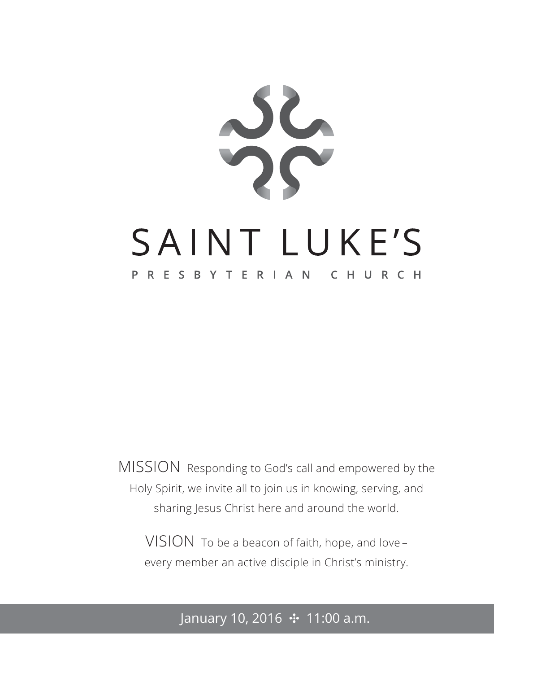

MISSION Responding to God's call and empowered by the Holy Spirit, we invite all to join us in knowing, serving, and sharing Jesus Christ here and around the world.

VISION To be a beacon of faith, hope, and love – every member an active disciple in Christ's ministry.

### January 10, 2016 ✣ 11:00 a.m.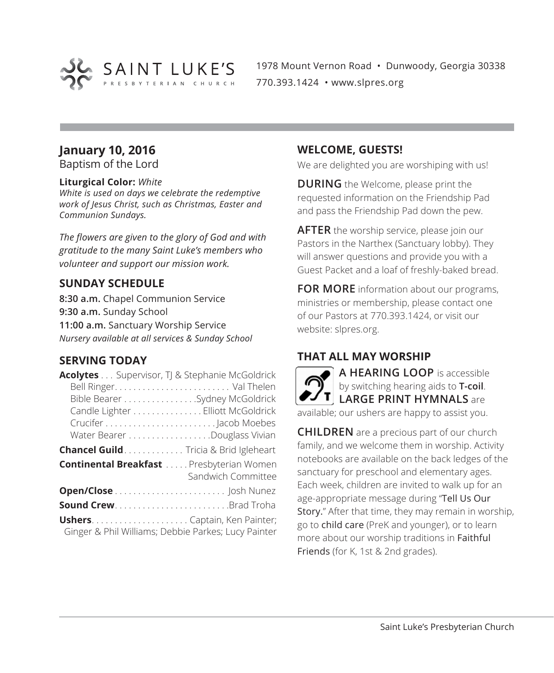

1978 Mount Vernon Road • Dunwoody, Georgia 30338 770.393.1424 • www.slpres.org

### **January 10, 2016**

Baptism of the Lord

### **Liturgical Color:** *White*

*White is used on days we celebrate the redemptive work of Jesus Christ, such as Christmas, Easter and Communion Sundays.*

*The flowers are given to the glory of God and with gratitude to the many Saint Luke's members who volunteer and support our mission work.*

### **SUNDAY SCHEDULE**

**8:30 a.m.** Chapel Communion Service **9:30 a.m.** Sunday School **11:00 a.m.** Sanctuary Worship Service *Nursery available at all services & Sunday School*

### **SERVING TODAY**

| <b>Acolytes</b> Supervisor, TJ & Stephanie McGoldrick                 |
|-----------------------------------------------------------------------|
|                                                                       |
| Bible Bearer Sydney McGoldrick                                        |
| Candle Lighter Elliott McGoldrick                                     |
|                                                                       |
| Water Bearer Douglass Vivian                                          |
| Chancel Guild. Tricia & Brid Igleheart                                |
| <b>Continental Breakfast</b> Presbyterian Women<br>Sandwich Committee |
|                                                                       |
| Sound CrewBrad Troha                                                  |
| Ginger & Phil Williams; Debbie Parkes; Lucy Painter                   |

### **WELCOME, GUESTS!**

We are delighted you are worshiping with us!

**DURING** the Welcome, please print the requested information on the Friendship Pad and pass the Friendship Pad down the pew.

**AFTER** the worship service, please join our Pastors in the Narthex (Sanctuary lobby). They will answer questions and provide you with a Guest Packet and a loaf of freshly-baked bread.

**FOR MORE** information about our programs, ministries or membership, please contact one of our Pastors at 770.393.1424, or visit our website: slpres.org.

### **THAT ALL MAY WORSHIP**



**CHILDREN** are a precious part of our church family, and we welcome them in worship. Activity notebooks are available on the back ledges of the sanctuary for preschool and elementary ages. Each week, children are invited to walk up for an age-appropriate message during "Tell Us Our Story." After that time, they may remain in worship, go to child care (PreK and younger), or to learn more about our worship traditions in Faithful Friends (for K, 1st & 2nd grades).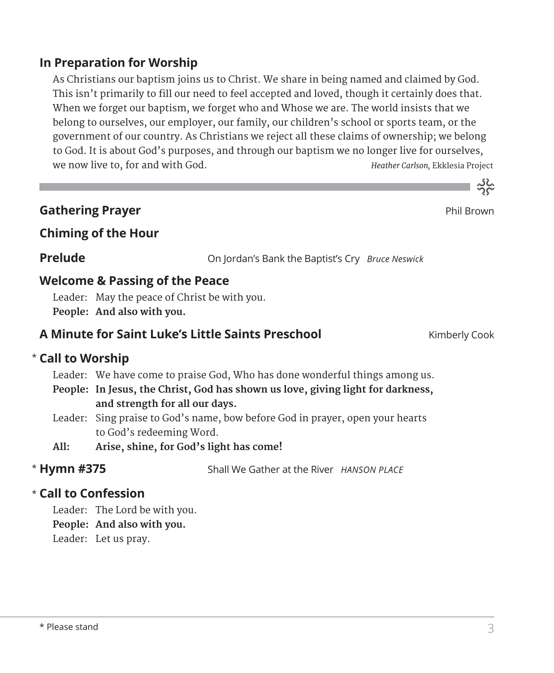### $\star$  Please stand 3

### **In Preparation for Worship**

 As Christians our baptism joins us to Christ. We share in being named and claimed by God. This isn't primarily to fill our need to feel accepted and loved, though it certainly does that. When we forget our baptism, we forget who and Whose we are. The world insists that we belong to ourselves, our employer, our family, our children's school or sports team, or the government of our country. As Christians we reject all these claims of ownership; we belong to God. It is about God's purposes, and through our baptism we no longer live for ourselves, we now live to, for and with God. *Heather Carlson,* Ekklesia Project

### **Gathering Prayer Property Controllering Prayer Phil Brown**

### **Chiming of the Hour**

**Prelude** On Jordan's Bank the Baptist's Cry *Bruce Neswick*

### **Welcome & Passing of the Peace**

Leader: May the peace of Christ be with you. **People: And also with you.**

### **A Minute for Saint Luke's Little Saints Preschool** Kimberly Cook

### **Call to Worship** \*

Leader: We have come to praise God, Who has done wonderful things among us.

- **People: In Jesus, the Christ, God has shown us love, giving light for darkness, and strength for all our days.**
- Leader: Sing praise to God's name, bow before God in prayer, open your hearts to God's redeeming Word.
- **All: Arise, shine, for God's light has come!**

### \* Hymn #375

Shall We Gather at the River *HANSON PLACE* 

### **Call to Confession**  \*

Leader: The Lord be with you.

**People: And also with you.**

Leader: Let us pray.



ے<br>مہ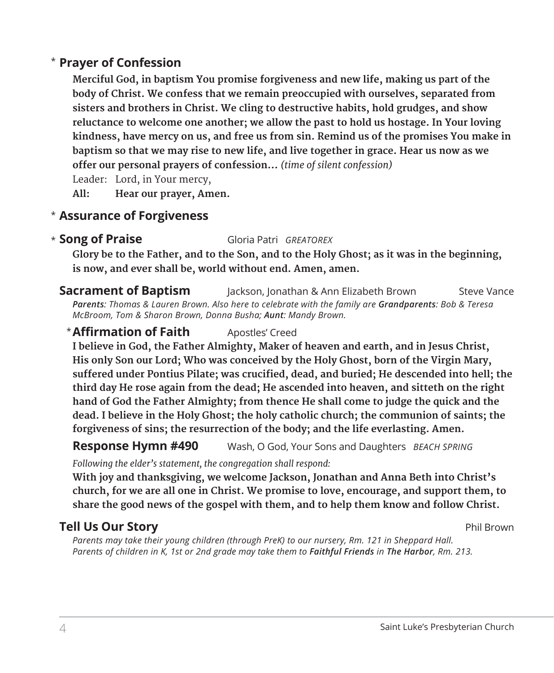### **Prayer of Confession**  \*

 **Merciful God, in baptism You promise forgiveness and new life, making us part of the body of Christ. We confess that we remain preoccupied with ourselves, separated from sisters and brothers in Christ. We cling to destructive habits, hold grudges, and show reluctance to welcome one another; we allow the past to hold us hostage. In Your loving kindness, have mercy on us, and free us from sin. Remind us of the promises You make in baptism so that we may rise to new life, and live together in grace. Hear us now as we offer our personal prayers of confession…** *(time of silent confession)*

Leader: Lord, in Your mercy,

**All: Hear our prayer, Amen.**

### **Assurance of Forgiveness** \*

#### **Song of Praise** Gloria Patri *GREATOREX* \* Song of Praise

 **Glory be to the Father, and to the Son, and to the Holy Ghost; as it was in the beginning, is now, and ever shall be, world without end. Amen, amen.**

#### **Sacrament of Baptism** Jackson, Jonathan & Ann Elizabeth Brown Steve Vance *Parents: Thomas & Lauren Brown. Also here to celebrate with the family are Grandparents: Bob & Teresa McBroom, Tom & Sharon Brown, Donna Busha; Aunt: Mandy Brown.*

### **\* Affirmation of Faith** Apostles' Creed

 **I believe in God, the Father Almighty, Maker of heaven and earth, and in Jesus Christ, His only Son our Lord; Who was conceived by the Holy Ghost, born of the Virgin Mary, suffered under Pontius Pilate; was crucified, dead, and buried; He descended into hell; the third day He rose again from the dead; He ascended into heaven, and sitteth on the right hand of God the Father Almighty; from thence He shall come to judge the quick and the dead. I believe in the Holy Ghost; the holy catholic church; the communion of saints; the forgiveness of sins; the resurrection of the body; and the life everlasting. Amen.**

### **Response Hymn #490** Wash, O God, Your Sons and Daughters *BEACH SPRING*

*Following the elder's statement, the congregation shall respond:*

 **With joy and thanksgiving, we welcome Jackson, Jonathan and Anna Beth into Christ's church, for we are all one in Christ. We promise to love, encourage, and support them, to share the good news of the gospel with them, and to help them know and follow Christ.**

### **Tell Us Our Story** Phil Brown

*Parents may take their young children (through PreK) to our nursery, Rm. 121 in Sheppard Hall. Parents of children in K, 1st or 2nd grade may take them to Faithful Friends in The Harbor, Rm. 213.*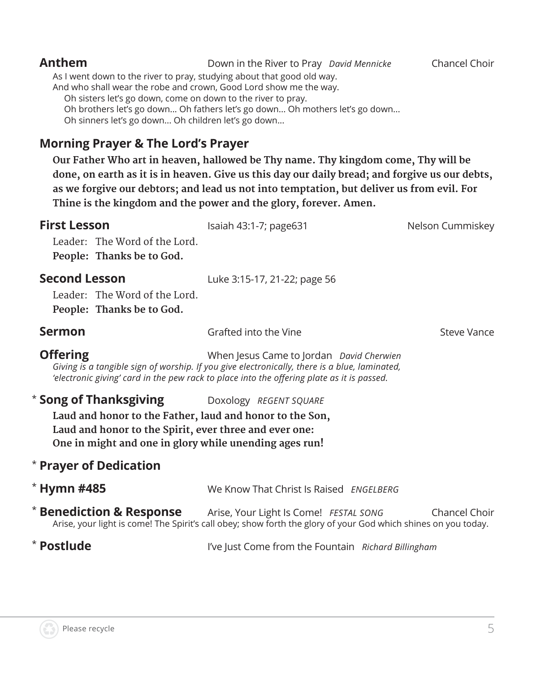### **Anthem** Down in the River to Pray *David Mennicke* Chancel Choir As I went down to the river to pray, studying about that good old way. And who shall wear the robe and crown, Good Lord show me the way. Oh sisters let's go down, come on down to the river to pray. Oh brothers let's go down... Oh fathers let's go down... Oh mothers let's go down... Oh sinners let's go down... Oh children let's go down...

### **Morning Prayer & The Lord's Prayer**

 **Our Father Who art in heaven, hallowed be Thy name. Thy kingdom come, Thy will be done, on earth as it is in heaven. Give us this day our daily bread; and forgive us our debts, as we forgive our debtors; and lead us not into temptation, but deliver us from evil. For Thine is the kingdom and the power and the glory, forever. Amen.**

| <b>First Lesson</b><br>Leader: The Word of the Lord.<br>People: Thanks be to God.                                                                                                                                                  | Isaiah 43:1-7; page631                                                                                                                                                                                                                  | Nelson Cummiskey |
|------------------------------------------------------------------------------------------------------------------------------------------------------------------------------------------------------------------------------------|-----------------------------------------------------------------------------------------------------------------------------------------------------------------------------------------------------------------------------------------|------------------|
| <b>Second Lesson</b><br>Leader: The Word of the Lord.<br>People: Thanks be to God.                                                                                                                                                 | Luke 3:15-17, 21-22; page 56                                                                                                                                                                                                            |                  |
| <b>Sermon</b>                                                                                                                                                                                                                      | Grafted into the Vine                                                                                                                                                                                                                   | Steve Vance      |
| <b>Offering</b>                                                                                                                                                                                                                    | When Jesus Came to Jordan David Cherwien<br>Giving is a tangible sign of worship. If you give electronically, there is a blue, laminated,<br>'electronic giving' card in the pew rack to place into the offering plate as it is passed. |                  |
| <b>Song of Thanksgiving</b> Doxology REGENT SQUARE<br>Laud and honor to the Father, laud and honor to the Son,<br>Laud and honor to the Spirit, ever three and ever one:<br>One in might and one in glory while unending ages run! |                                                                                                                                                                                                                                         |                  |
| <b>Prayer of Dedication</b>                                                                                                                                                                                                        |                                                                                                                                                                                                                                         |                  |
| <b>Hymn #485</b>                                                                                                                                                                                                                   | We Know That Christ Is Raised <i>ENGELBERG</i>                                                                                                                                                                                          |                  |
|                                                                                                                                                                                                                                    | <b>Benediction &amp; Response</b> Arise, Your Light Is Come! FESTAL SONG<br>Arise, your light is come! The Spirit's call obey; show forth the glory of your God which shines on you today.                                              | Chancel Choir    |
| <b>Postlude</b>                                                                                                                                                                                                                    | I've Just Come from the Fountain Richard Billingham                                                                                                                                                                                     |                  |

\*

\*

\*

\*

\*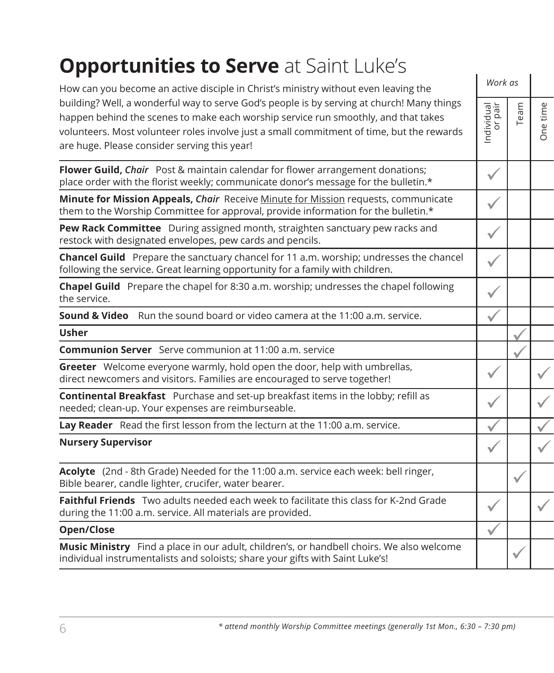### **Opportunities to Serve at Saint Luke's**

| How can you become an active disciple in Christ's ministry without even leaving the                                                                                                                                                                                                                                           | Work as               |      |              |
|-------------------------------------------------------------------------------------------------------------------------------------------------------------------------------------------------------------------------------------------------------------------------------------------------------------------------------|-----------------------|------|--------------|
| building? Well, a wonderful way to serve God's people is by serving at church! Many things<br>happen behind the scenes to make each worship service run smoothly, and that takes<br>volunteers. Most volunteer roles involve just a small commitment of time, but the rewards<br>are huge. Please consider serving this year! | Individual<br>or pair | Team | One time     |
| Flower Guild, Chair Post & maintain calendar for flower arrangement donations;<br>place order with the florist weekly; communicate donor's message for the bulletin.*                                                                                                                                                         | $\checkmark$          |      |              |
| Minute for Mission Appeals, Chair Receive Minute for Mission requests, communicate<br>them to the Worship Committee for approval, provide information for the bulletin.*                                                                                                                                                      |                       |      |              |
| Pew Rack Committee During assigned month, straighten sanctuary pew racks and<br>restock with designated envelopes, pew cards and pencils.                                                                                                                                                                                     | $\checkmark$          |      |              |
| Chancel Guild Prepare the sanctuary chancel for 11 a.m. worship; undresses the chancel<br>following the service. Great learning opportunity for a family with children.                                                                                                                                                       | $\checkmark$          |      |              |
| Chapel Guild Prepare the chapel for 8:30 a.m. worship; undresses the chapel following<br>the service.                                                                                                                                                                                                                         | $\checkmark$          |      |              |
| <b>Sound &amp; Video</b> Run the sound board or video camera at the 11:00 a.m. service.                                                                                                                                                                                                                                       | ✓                     |      |              |
| <b>Usher</b>                                                                                                                                                                                                                                                                                                                  |                       |      |              |
| <b>Communion Server</b> Serve communion at 11:00 a.m. service                                                                                                                                                                                                                                                                 |                       |      |              |
| Greeter Welcome everyone warmly, hold open the door, help with umbrellas,<br>direct newcomers and visitors. Families are encouraged to serve together!                                                                                                                                                                        |                       |      | $\checkmark$ |
| Continental Breakfast Purchase and set-up breakfast items in the lobby; refill as<br>needed; clean-up. Your expenses are reimburseable.                                                                                                                                                                                       | $\checkmark$          |      |              |
| Lay Reader Read the first lesson from the lecturn at the 11:00 a.m. service.                                                                                                                                                                                                                                                  |                       |      |              |
| <b>Nursery Supervisor</b>                                                                                                                                                                                                                                                                                                     | $\checkmark$          |      |              |
| Acolyte (2nd - 8th Grade) Needed for the 11:00 a.m. service each week: bell ringer,<br>Bible bearer, candle lighter, crucifer, water bearer.                                                                                                                                                                                  |                       |      |              |
| Faithful Friends Two adults needed each week to facilitate this class for K-2nd Grade<br>during the 11:00 a.m. service. All materials are provided.                                                                                                                                                                           | $\checkmark$          |      |              |
| Open/Close                                                                                                                                                                                                                                                                                                                    | $\checkmark$          |      |              |
| Music Ministry Find a place in our adult, children's, or handbell choirs. We also welcome<br>individual instrumentalists and soloists; share your gifts with Saint Luke's!                                                                                                                                                    |                       |      |              |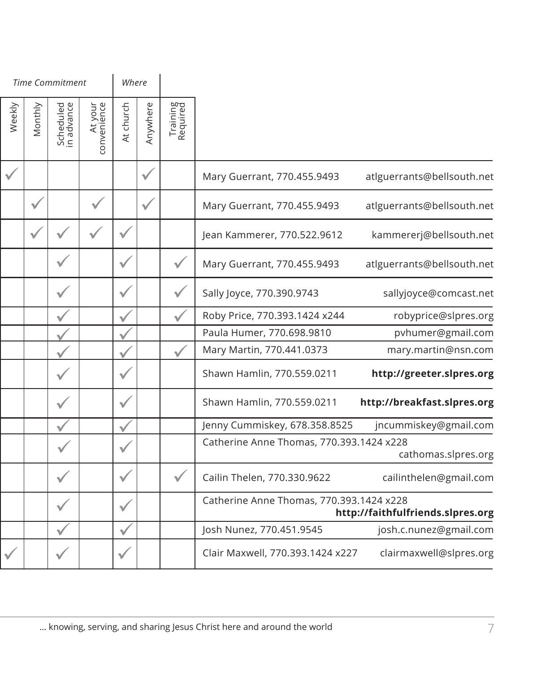|                                   |                                          |                      |              | Where     |                        |                         |         |              | <b>Time Commitment</b> |  |  |
|-----------------------------------|------------------------------------------|----------------------|--------------|-----------|------------------------|-------------------------|---------|--------------|------------------------|--|--|
|                                   |                                          | Training<br>Required | Anywhere     | At church | At your<br>convenience | Scheduled<br>in advance | Monthly | Weekly       |                        |  |  |
| atlguerrants@bellsouth.net        | Mary Guerrant, 770.455.9493              |                      | $\checkmark$ |           |                        |                         |         | $\checkmark$ |                        |  |  |
| atlguerrants@bellsouth.net        | Mary Guerrant, 770.455.9493              |                      | $\checkmark$ |           |                        |                         |         |              |                        |  |  |
| kammererj@bellsouth.net           | Jean Kammerer, 770.522.9612              |                      |              |           |                        |                         |         |              |                        |  |  |
| atlguerrants@bellsouth.net        | Mary Guerrant, 770.455.9493              |                      |              |           |                        |                         |         |              |                        |  |  |
| sallyjoyce@comcast.net            | Sally Joyce, 770.390.9743                |                      |              |           |                        |                         |         |              |                        |  |  |
| robyprice@slpres.org              | Roby Price, 770.393.1424 x244            |                      |              |           |                        |                         |         |              |                        |  |  |
| pvhumer@gmail.com                 | Paula Humer, 770.698.9810                |                      |              |           |                        |                         |         |              |                        |  |  |
| mary.martin@nsn.com               | Mary Martin, 770.441.0373                |                      |              |           |                        |                         |         |              |                        |  |  |
| http://greeter.slpres.org         | Shawn Hamlin, 770.559.0211               |                      |              |           |                        |                         |         |              |                        |  |  |
| http://breakfast.slpres.org       | Shawn Hamlin, 770.559.0211               |                      |              |           |                        |                         |         |              |                        |  |  |
| jncummiskey@gmail.com             | Jenny Cummiskey, 678.358.8525            |                      |              |           |                        |                         |         |              |                        |  |  |
| cathomas.slpres.org               | Catherine Anne Thomas, 770.393.1424 x228 |                      |              |           |                        |                         |         |              |                        |  |  |
| cailinthelen@gmail.com            | Cailin Thelen, 770.330.9622              |                      |              |           |                        |                         |         |              |                        |  |  |
| http://faithfulfriends.slpres.org | Catherine Anne Thomas, 770.393.1424 x228 |                      |              |           |                        |                         |         |              |                        |  |  |
| josh.c.nunez@gmail.com            | Josh Nunez, 770.451.9545                 |                      |              |           |                        |                         |         |              |                        |  |  |
| clairmaxwell@slpres.org           | Clair Maxwell, 770.393.1424 x227         |                      |              |           |                        |                         |         |              |                        |  |  |
|                                   |                                          |                      |              |           |                        |                         |         |              |                        |  |  |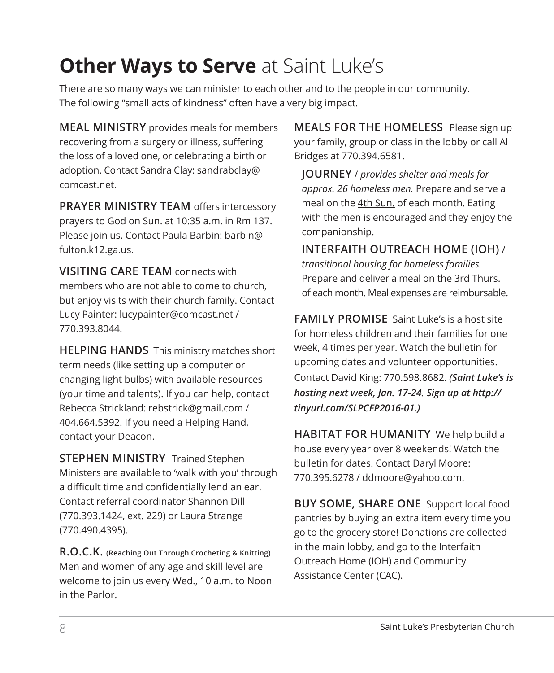### **Other Ways to Serve** at Saint Luke's

There are so many ways we can minister to each other and to the people in our community. The following "small acts of kindness" often have a very big impact.

**MEAL MINISTRY** provides meals for members recovering from a surgery or illness, suffering the loss of a loved one, or celebrating a birth or adoption. Contact Sandra Clay: sandrabclay@ comcast.net.

**PRAYER MINISTRY TEAM** offers intercessory prayers to God on Sun. at 10:35 a.m. in Rm 137. Please join us. Contact Paula Barbin: barbin@ fulton.k12.ga.us.

**VISITING CARE TEAM** connects with members who are not able to come to church, but enjoy visits with their church family. Contact Lucy Painter: lucypainter@comcast.net / 770.393.8044.

**HELPING HANDS** This ministry matches short term needs (like setting up a computer or changing light bulbs) with available resources (your time and talents). If you can help, contact Rebecca Strickland: rebstrick@gmail.com / 404.664.5392. If you need a Helping Hand, contact your Deacon.

**STEPHEN MINISTRY** Trained Stephen Ministers are available to 'walk with you' through a difficult time and confidentially lend an ear. Contact referral coordinator Shannon Dill (770.393.1424, ext. 229) or Laura Strange (770.490.4395).

**R.O.C.K. (Reaching Out Through Crocheting & Knitting)** Men and women of any age and skill level are welcome to join us every Wed., 10 a.m. to Noon in the Parlor.

**MEALS FOR THE HOMELESS** Please sign up your family, group or class in the lobby or call Al Bridges at 770.394.6581.

 **JOURNEY** / *provides shelter and meals for approx. 26 homeless men.* Prepare and serve a meal on the 4th Sun. of each month. Eating with the men is encouraged and they enjoy the companionship.

 **INTERFAITH OUTREACH HOME (IOH)** / *transitional housing for homeless families.* Prepare and deliver a meal on the 3rd Thurs. of each month. Meal expenses are reimbursable.

**FAMILY PROMISE** Saint Luke's is a host site for homeless children and their families for one week, 4 times per year. Watch the bulletin for upcoming dates and volunteer opportunities. Contact David King: 770.598.8682. *(Saint Luke's is hosting next week, Jan. 17-24. Sign up at http:// tinyurl.com/SLPCFP2016-01.)*

**HABITAT FOR HUMANITY** We help build a house every year over 8 weekends! Watch the bulletin for dates. Contact Daryl Moore: 770.395.6278 / ddmoore@yahoo.com.

**BUY SOME, SHARE ONE** Support local food pantries by buying an extra item every time you go to the grocery store! Donations are collected in the main lobby, and go to the Interfaith Outreach Home (IOH) and Community Assistance Center (CAC).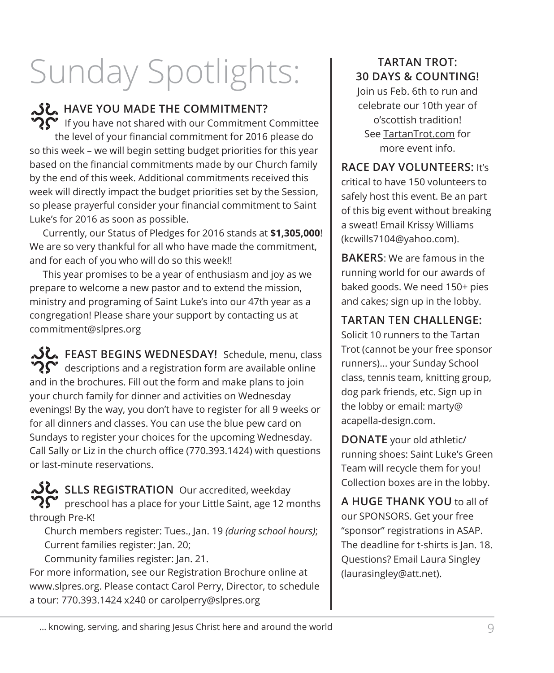# Sunday Spotlights: | BRATAN TROT:

### **HAVE YOU MADE THE COMMITMENT?**

 $\mathbf{P}$  If you have not shared with our Commitment Committee the level of your financial commitment for 2016 please do so this week – we will begin setting budget priorities for this year based on the financial commitments made by our Church family by the end of this week. Additional commitments received this week will directly impact the budget priorities set by the Session, so please prayerful consider your financial commitment to Saint Luke's for 2016 as soon as possible.

Currently, our Status of Pledges for 2016 stands at **\$1,305,000**! We are so very thankful for all who have made the commitment, and for each of you who will do so this week!!

This year promises to be a year of enthusiasm and joy as we prepare to welcome a new pastor and to extend the mission, ministry and programing of Saint Luke's into our 47th year as a congregation! Please share your support by contacting us at commitment@slpres.org

**FEAST BEGINS WEDNESDAY!** Schedule, menu, class  $\mathbf{Q}^{\bullet}$  descriptions and a registration form are available online and in the brochures. Fill out the form and make plans to join your church family for dinner and activities on Wednesday evenings! By the way, you don't have to register for all 9 weeks or for all dinners and classes. You can use the blue pew card on Sundays to register your choices for the upcoming Wednesday. Call Sally or Liz in the church office (770.393.1424) with questions or last-minute reservations.

**SLLS REGISTRATION** Our accredited, weekday  $\mathbf{R}^{\bullet}$  preschool has a place for your Little Saint, age 12 months through Pre-K!

Church members register: Tues., Jan. 19 *(during school hours)*; Current families register: Jan. 20;

Community families register: Jan. 21.

For more information, see our Registration Brochure online at www.slpres.org. Please contact Carol Perry, Director, to schedule a tour: 770.393.1424 x240 or carolperry@slpres.org

# **30 DAYS & COUNTING!**

Join us Feb. 6th to run and celebrate our 10th year of o'scottish tradition! See TartanTrot.com for more event info.

**RACE DAY VOLUNTEERS:** It's critical to have 150 volunteers to safely host this event. Be an part of this big event without breaking a sweat! Email Krissy Williams (kcwills7104@yahoo.com).

**BAKERS**: We are famous in the running world for our awards of baked goods. We need 150+ pies and cakes; sign up in the lobby.

**TARTAN TEN CHALLENGE:**

Solicit 10 runners to the Tartan Trot (cannot be your free sponsor runners)... your Sunday School class, tennis team, knitting group, dog park friends, etc. Sign up in the lobby or email: marty@ acapella-design.com.

**DONATE** your old athletic/ running shoes: Saint Luke's Green Team will recycle them for you! Collection boxes are in the lobby.

**A HUGE THANK YOU** to all of our SPONSORS. Get your free "sponsor" registrations in ASAP. The deadline for t-shirts is Jan. 18. Questions? Email Laura Singley (laurasingley@att.net).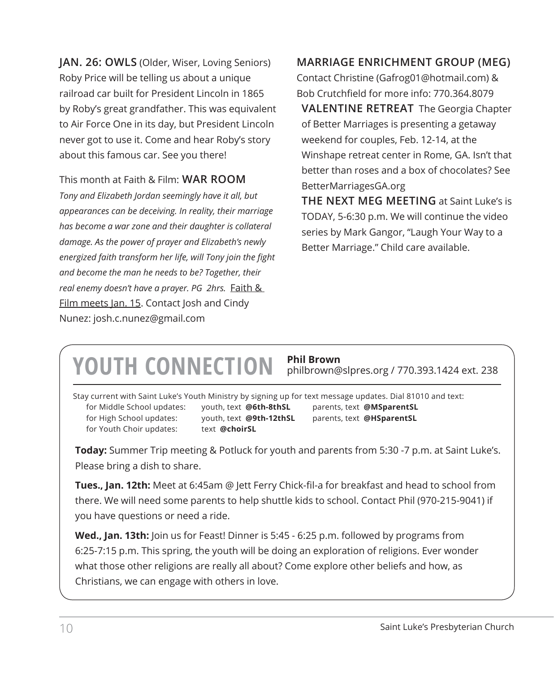**JAN. 26: OWLS** (Older, Wiser, Loving Seniors) Roby Price will be telling us about a unique railroad car built for President Lincoln in 1865 by Roby's great grandfather. This was equivalent to Air Force One in its day, but President Lincoln never got to use it. Come and hear Roby's story about this famous car. See you there!

This month at Faith & Film: **WAR ROOM** *Tony and Elizabeth Jordan seemingly have it all, but appearances can be deceiving. In reality, their marriage has become a war zone and their daughter is collateral damage. As the power of prayer and Elizabeth's newly energized faith transform her life, will Tony join the fight and become the man he needs to be? Together, their real enemy doesn't have a prayer. PG 2hrs.* Faith & Film meets Jan. 15. Contact Josh and Cindy Nunez: josh.c.nunez@gmail.com

### **MARRIAGE ENRICHMENT GROUP (MEG)**

Contact Christine (Gafrog01@hotmail.com) & Bob Crutchfield for more info: 770.364.8079 **VALENTINE RETREAT** The Georgia Chapter of Better Marriages is presenting a getaway weekend for couples, Feb. 12-14, at the Winshape retreat center in Rome, GA. Isn't that better than roses and a box of chocolates? See BetterMarriagesGA.org **THE NEXT MEG MEETING** at Saint Luke's is

TODAY, 5-6:30 p.m. We will continue the video series by Mark Gangor, "Laugh Your Way to a Better Marriage." Child care available.

## **YOUTH CONNECTION Phil Brown**

philbrown@slpres.org / 770.393.1424 ext. 238

Stay current with Saint Luke's Youth Ministry by signing up for text message updates. Dial 81010 and text: for Middle School updates: youth, text **@6th-8thSL** parents, text **@MSparentSL** for High School updates: youth, text **@9th-12thSL** parents, text **@HSparentSL** for Youth Choir updates: text @choirSL

**Today:** Summer Trip meeting & Potluck for youth and parents from 5:30 -7 p.m. at Saint Luke's. Please bring a dish to share.

**Tues., Jan. 12th:** Meet at 6:45am @ Jett Ferry Chick-fil-a for breakfast and head to school from there. We will need some parents to help shuttle kids to school. Contact Phil (970-215-9041) if you have questions or need a ride.

**Wed., Jan. 13th:** Join us for Feast! Dinner is 5:45 - 6:25 p.m. followed by programs from 6:25-7:15 p.m. This spring, the youth will be doing an exploration of religions. Ever wonder what those other religions are really all about? Come explore other beliefs and how, as Christians, we can engage with others in love.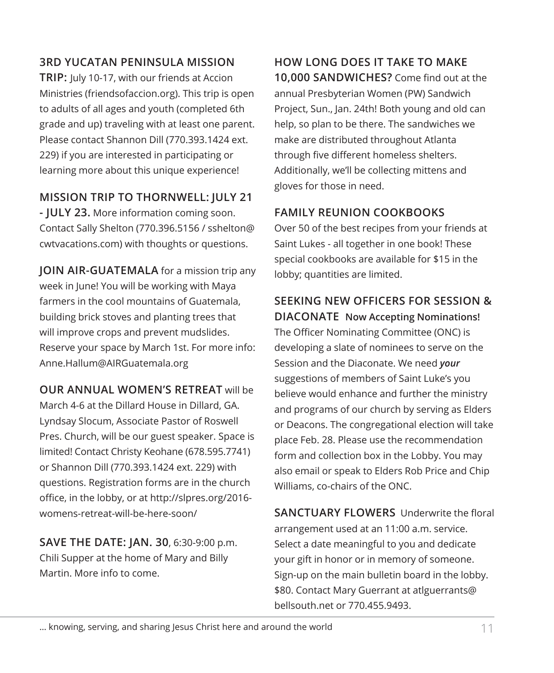### **3RD YUCATAN PENINSULA MISSION**

**TRIP:** July 10-17, with our friends at Accion Ministries (friendsofaccion.org). This trip is open to adults of all ages and youth (completed 6th grade and up) traveling with at least one parent. Please contact Shannon Dill (770.393.1424 ext. 229) if you are interested in participating or learning more about this unique experience!

### **MISSION TRIP TO THORNWELL: JULY 21**

**- JULY 23.** More information coming soon. Contact Sally Shelton (770.396.5156 / sshelton@ cwtvacations.com) with thoughts or questions.

**JOIN AIR-GUATEMALA** for a mission trip any week in June! You will be working with Maya farmers in the cool mountains of Guatemala, building brick stoves and planting trees that will improve crops and prevent mudslides. Reserve your space by March 1st. For more info: Anne.Hallum@AIRGuatemala.org

**OUR ANNUAL WOMEN'S RETREAT** will be March 4-6 at the Dillard House in Dillard, GA. Lyndsay Slocum, Associate Pastor of Roswell Pres. Church, will be our guest speaker. Space is limited! Contact Christy Keohane (678.595.7741) or Shannon Dill (770.393.1424 ext. 229) with questions. Registration forms are in the church office, in the lobby, or at http://slpres.org/2016 womens-retreat-will-be-here-soon/

**SAVE THE DATE: JAN. 30**, 6:30-9:00 p.m. Chili Supper at the home of Mary and Billy Martin. More info to come.

**HOW LONG DOES IT TAKE TO MAKE 10,000 SANDWICHES?** Come find out at the annual Presbyterian Women (PW) Sandwich Project, Sun., Jan. 24th! Both young and old can help, so plan to be there. The sandwiches we make are distributed throughout Atlanta through five different homeless shelters. Additionally, we'll be collecting mittens and gloves for those in need.

### **FAMILY REUNION COOKBOOKS**

Over 50 of the best recipes from your friends at Saint Lukes - all together in one book! These special cookbooks are available for \$15 in the lobby; quantities are limited.

### **SEEKING NEW OFFICERS FOR SESSION &**

**DIACONATE Now Accepting Nominations!** The Officer Nominating Committee (ONC) is developing a slate of nominees to serve on the Session and the Diaconate. We need *your* suggestions of members of Saint Luke's you believe would enhance and further the ministry and programs of our church by serving as Elders or Deacons. The congregational election will take place Feb. 28. Please use the recommendation form and collection box in the Lobby. You may also email or speak to Elders Rob Price and Chip Williams, co-chairs of the ONC.

**SANCTUARY FLOWERS** Underwrite the floral arrangement used at an 11:00 a.m. service. Select a date meaningful to you and dedicate your gift in honor or in memory of someone. Sign-up on the main bulletin board in the lobby. \$80. Contact Mary Guerrant at atlguerrants@ bellsouth.net or 770.455.9493.